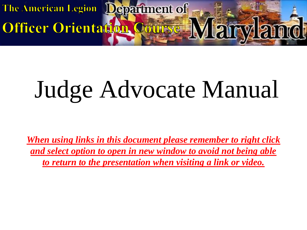**The American Legion** 

Officer Orientation Course

# Judge Advocate Manual

Maryland

Department of

*When using links in this document please remember to right click and select option to open in new window to avoid not being able to return to the presentation when visiting a link or video.*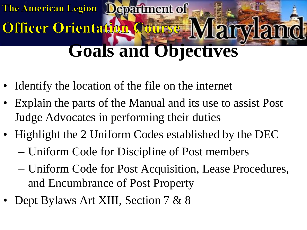# The American Legion Department of Officer Orientation Course **Goals and Objectives**

- Identify the location of the file on the internet
- Explain the parts of the Manual and its use to assist Post Judge Advocates in performing their duties
- Highlight the 2 Uniform Codes established by the DEC
	- Uniform Code for Discipline of Post members
	- Uniform Code for Post Acquisition, Lease Procedures, and Encumbrance of Post Property
- Dept Bylaws Art XIII, Section 7 & 8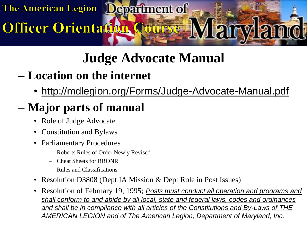### **Judge Advocate Manual**

– **Location on the internet**

Officer Orientation Cour

• <http://mdlegion.org/Forms/Judge-Advocate-Manual.pdf>

#### – **Major parts of manual**

- Role of Judge Advocate
- Constitution and Bylaws
- Parliamentary Procedures
	- Roberts Rules of Order Newly Revised
	- Cheat Sheets for RRONR
	- Rules and Classifications
- Resolution D3808 (Dept IA Mission & Dept Role in Post Issues)
- Resolution of February 19, 1995; *Posts must conduct all operation and programs and shall conform to and abide by all local, state and federal laws, codes and ordinances and shall be in compliance with all articles of the Constitutions and By-Laws of THE AMERICAN LEGION and of The American Legion, Department of Maryland, Inc.*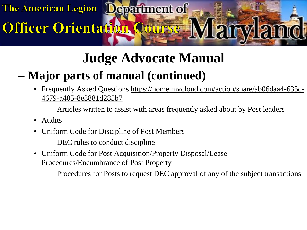#### **Judge Advocate Manual**

#### – **Major parts of manual (continued)**

Officer Orientation Course

- Frequently Asked Questions [https://home.mycloud.com/action/share/ab06daa4-635c-](https://home.mycloud.com/action/share/ab06daa4-635c-4679-a405-8e3881d285b7)[4679-a405-8e3881d285b7](https://home.mycloud.com/action/share/ab06daa4-635c-4679-a405-8e3881d285b7)
	- Articles written to assist with areas frequently asked about by Post leaders
- Audits
- Uniform Code for Discipline of Post Members
	- DEC rules to conduct discipline
- Uniform Code for Post Acquisition/Property Disposal/Lease Procedures/Encumbrance of Post Property
	- Procedures for Posts to request DEC approval of any of the subject transactions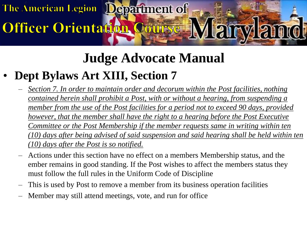### **Judge Advocate Manual**

• **Dept Bylaws Art XIII, Section 7** 

Officer Orientation Course

- *Section 7. In order to maintain order and decorum within the Post facilities, nothing contained herein shall prohibit a Post, with or without a hearing, from suspending a member from the use of the Post facilities for a period not to exceed 90 days, provided however, that the member shall have the right to a hearing before the Post Executive Committee or the Post Membership if the member requests same in writing within ten (10) days after being advised of said suspension and said hearing shall be held within ten (10) days after the Post is so notified.*
- Actions under this section have no effect on a members Membership status, and the ember remains in good standing. If the Post wishes to affect the members status they must follow the full rules in the Uniform Code of Discipline
- This is used by Post to remove a member from its business operation facilities
- Member may still attend meetings, vote, and run for office